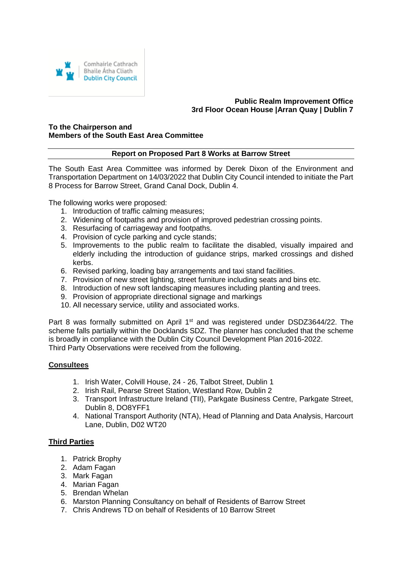

# **Public Realm Improvement Office 3rd Floor Ocean House |Arran Quay | Dublin 7**

#### **To the Chairperson and Members of the South East Area Committee**

#### **Report on Proposed Part 8 Works at Barrow Street**

The South East Area Committee was informed by Derek Dixon of the Environment and Transportation Department on 14/03/2022 that Dublin City Council intended to initiate the Part 8 Process for Barrow Street, Grand Canal Dock, Dublin 4.

The following works were proposed:

- 1. Introduction of traffic calming measures;
- 2. Widening of footpaths and provision of improved pedestrian crossing points.
- 3. Resurfacing of carriageway and footpaths.
- 4. Provision of cycle parking and cycle stands;
- 5. Improvements to the public realm to facilitate the disabled, visually impaired and elderly including the introduction of guidance strips, marked crossings and dished kerbs.
- 6. Revised parking, loading bay arrangements and taxi stand facilities.
- 7. Provision of new street lighting, street furniture including seats and bins etc.
- 8. Introduction of new soft landscaping measures including planting and trees.
- 9. Provision of appropriate directional signage and markings
- 10. All necessary service, utility and associated works.

Part 8 was formally submitted on April 1<sup>st</sup> and was registered under DSDZ3644/22. The scheme falls partially within the Docklands SDZ. The planner has concluded that the scheme is broadly in compliance with the Dublin City Council Development Plan 2016-2022. Third Party Observations were received from the following.

# **Consultees**

- 1. Irish Water, Colvill House, 24 26, Talbot Street, Dublin 1
- 2. Irish Rail, Pearse Street Station, Westland Row, Dublin 2
- 3. Transport Infrastructure Ireland (TII), Parkgate Business Centre, Parkgate Street, Dublin 8, DO8YFF1
- 4. National Transport Authority (NTA), Head of Planning and Data Analysis, Harcourt Lane, Dublin, D02 WT20

# **Third Parties**

- 1. Patrick Brophy
- 2. Adam Fagan
- 3. Mark Fagan
- 4. Marian Fagan
- 5. Brendan Whelan
- 6. Marston Planning Consultancy on behalf of Residents of Barrow Street
- 7. Chris Andrews TD on behalf of Residents of 10 Barrow Street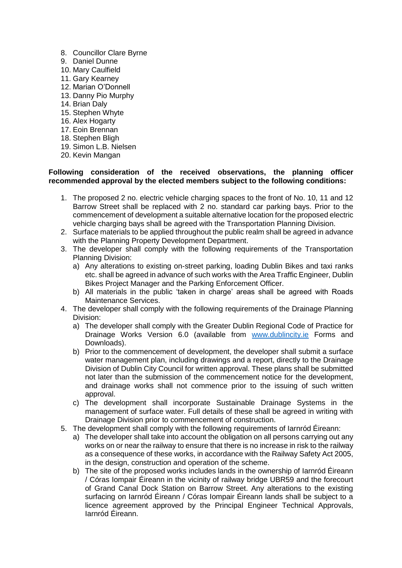- 8. Councillor Clare Byrne
- 9. Daniel Dunne
- 10. Mary Caulfield
- 11. Gary Kearney
- 12. Marian O'Donnell
- 13. Danny Pio Murphy
- 14. Brian Daly
- 15. Stephen Whyte
- 16. Alex Hogarty
- 17. Eoin Brennan
- 18. Stephen Bligh
- 19. Simon L.B. Nielsen
- 20. Kevin Mangan

#### **Following consideration of the received observations, the planning officer recommended approval by the elected members subject to the following conditions:**

- 1. The proposed 2 no. electric vehicle charging spaces to the front of No. 10, 11 and 12 Barrow Street shall be replaced with 2 no. standard car parking bays. Prior to the commencement of development a suitable alternative location for the proposed electric vehicle charging bays shall be agreed with the Transportation Planning Division.
- 2. Surface materials to be applied throughout the public realm shall be agreed in advance with the Planning Property Development Department.
- 3. The developer shall comply with the following requirements of the Transportation Planning Division:
	- a) Any alterations to existing on-street parking, loading Dublin Bikes and taxi ranks etc. shall be agreed in advance of such works with the Area Traffic Engineer, Dublin Bikes Project Manager and the Parking Enforcement Officer.
	- b) All materials in the public 'taken in charge' areas shall be agreed with Roads Maintenance Services.
- 4. The developer shall comply with the following requirements of the Drainage Planning Division:
	- a) The developer shall comply with the Greater Dublin Regional Code of Practice for Drainage Works Version 6.0 (available from [www.dublincity.ie](http://www.dublincity.ie/) Forms and Downloads).
	- b) Prior to the commencement of development, the developer shall submit a surface water management plan, including drawings and a report, directly to the Drainage Division of Dublin City Council for written approval. These plans shall be submitted not later than the submission of the commencement notice for the development, and drainage works shall not commence prior to the issuing of such written approval.
	- c) The development shall incorporate Sustainable Drainage Systems in the management of surface water. Full details of these shall be agreed in writing with Drainage Division prior to commencement of construction.
- 5. The development shall comply with the following requirements of Iarnród Éireann:
	- a) The developer shall take into account the obligation on all persons carrying out any works on or near the railway to ensure that there is no increase in risk to the railway as a consequence of these works, in accordance with the Railway Safety Act 2005, in the design, construction and operation of the scheme.
	- b) The site of the proposed works includes lands in the ownership of Iarnród Éireann / Córas Iompair Éireann in the vicinity of railway bridge UBR59 and the forecourt of Grand Canal Dock Station on Barrow Street. Any alterations to the existing surfacing on Iarnród Éireann / Córas Iompair Éireann lands shall be subject to a licence agreement approved by the Principal Engineer Technical Approvals, Iarnród Éireann.